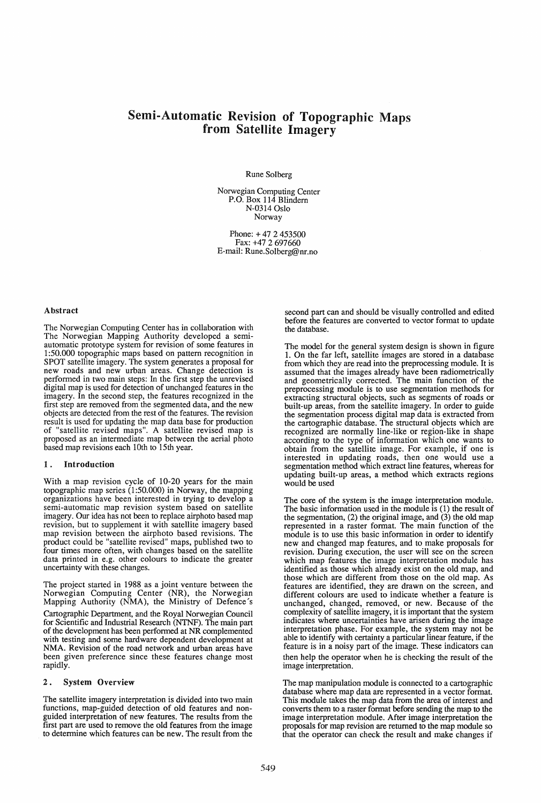# Semi-Automatic Revision of Topographic Maps from Satellite Imagery

Rune Solberg

Norwegian Computing Center P.O. Box 114 Blindern N-0314 Oslo Norway

Phone: + 47 2 453500 Fax: +47 2 697660 E-mail: Rune.Solberg@nr.no

#### Abstract

The Norwegian Computing Center has in collaboration with The Norwegian Mapping Authority developed a semiautomatic prototype system for revision of some features in 1:50.000 topographic maps based on pattern recognition in SPOT satellite imagery. The system generates a proposal for new roads and new urban areas. Change detection is performed in two main steps: In the first step the unrevised digital map is used for detection of unchanged features in the imagery. In the second step, the features recognized in the first step are removed from the segmented data, and the new objects are detected from the rest of the features. The revision result is used for updating the map data base for production of "satellite revised maps". A satellite revised map is proposed as an intermediate map between the aerial photo based map revisions each 10th to 15th year.

#### 1. Introduction

With a map revision cycle of 10-20 years for the main topographic map series (1 :50.000) in Norway, the mapping organizations have been interested in trying to develop a semi-automatic map revision system based on satellite imagery. Our idea has not been to replace airphoto based map revision, but to supplement it with satellite imagery based map revision between the airphoto based revisions. The product could be "satellite revised" maps, published two to four times more often, with changes based on the satellite data printed in e.g. other colours to indicate the greater uncertainty with these changes.

The project started in 1988 as a joint venture between the Norwegian Computing Center (NR), the Norwegian Mapping Authority (NMA), the Ministry of Defence's

Cartographic Department, and the Royal Norwegian Council for Scientific and Industrial Research (NTNF). The main part of the development has been performed at NR complemented with testing and some hardware dependent development at NMA. Revision of the road network and urban areas have been given preference since these features change most rapidly.

#### 2. System Overview

The satellite imagery interpretation is divided into two main functions, map-guided detection of old features and non- guided interpretation of new features. The results from the first part are used to remove the old features from the image to determine which features can be new. The result from the

second part can and should be visually controlled and edited before the features are converted to vector format to update the database.

The model for the general system design is shown in figure 1. On the far left, satellite images are stored in a database from which they are read into the preprocessing module. It is assumed that the images already have been radiometrically and geometrically corrected. The main function of the preprocessing module is to use segmentation methods for extracting structural objects, such as segments of roads or built-up areas, from the satellite imagery. In order to guide the segmentation process digital map data is extracted from the cartographic database. The structural objects which are recognized are normally line-like or region-like in shape according to the type of information which one wants to obtain from the satellite image. For example, if one is interested in updating roads, then one would use a segmentation method which extract line features, whereas for updating built-up areas, a method which extracts regions would be used

The core of the system is the image interpretation module. The basic information used in the module is (1) the result of the segmentation, (2) the original image, and (3) the old map represented in a raster format. The main function of the module is to use this basic information in order to identify new and changed map features, and to make proposals for revision. During execution, the user will see on the screen which map features the image interpretation module has identified as those which already exist on the old map, and those which are different from those on the old map. As features are identified, they are drawn on the screen, and different colours are used to indicate whether a feature is unchanged, changed, removed, or new. Because of the complexity of satellite imagery, it is important that the system indicates where uncertainties have arisen during the image interpretation phase. For example, the system may not be able to identify with certainty a particular linear feature, if the feature is in a noisy part of the image. These indicators can then help the operator when he is checking the result of the image interpretation.

The map manipulation module is connected to a cartographic database where map data are represented in a vector format. This module takes the map data from the area of interest and converts them to a raster format before sending the map to the image interpretation module. After image interpretation the proposals for map revision are returned to the map module so that the operator can check the result and make changes if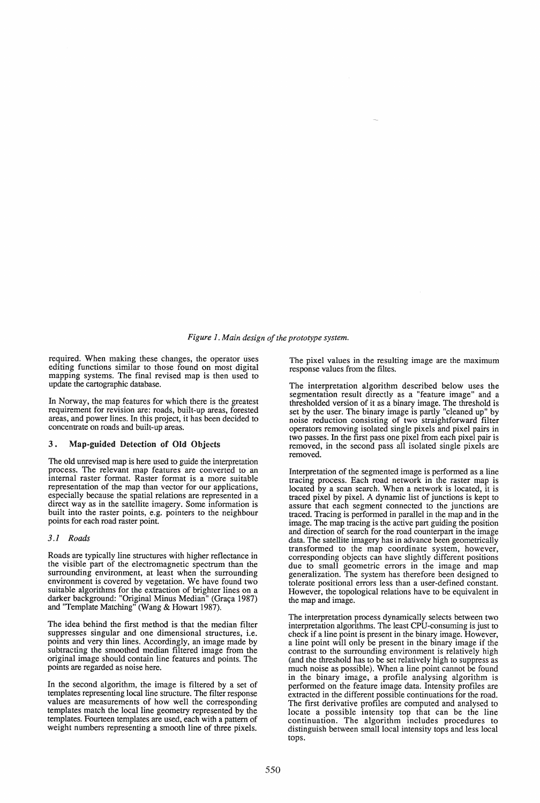# *Figure* 1. *Main design of the prototype system.*

required. When making these changes, the operator uses editing functions similar to those found on most digital mapping systems. The final revised map is then used to update the cartographic database.

In Norway, the map features for which there is the greatest requirement for revision are: roads, built-up areas, forested areas, and power lines. In this project, it has been decided to concentrate on roads and built-up areas.

#### 3. Map-guided Detection of Old Objects

The old unrevised map is here used to guide the interpretation process. The relevant map features are converted to an internal raster format. Raster format is a more suitable representation of the map than vector for our applications, especially because the spatial relations are represented in a direct way as in the satellite imagery. Some information is built into the raster points, e.g. pointers to the neighbour points for each road raster point.

#### *3.1 Roads*

Roads are typically line structures with higher reflectance in the visible part of the electromagnetic spectrum than the surrounding environment, at least when the surrounding environment is covered by vegetation. We have found two suitable algorithms for the extraction of brighter lines on a darker background: "Original Minus Median" (Graça 1987) and "Template Matching" (Wang & Howart 1987).

The idea behind the first method is that the median filter suppresses singular and one dimensional structures, i.e. points and very thin lines. Accordingly, an image made by subtracting the smoothed median filtered image from the original image should contain line features and points. The points are regarded as noise here.

In the second algorithm, the image is filtered by a set of templates representing local line structure. The filter response values are measurements of how well the corresponding templates match the local line geometry represented by the templates. Fourteen templates are used, each with a pattern of weight numbers representing a smooth line of three pixels. The pixel values in the resulting image are the maximum response values from the filtes.

The interpretation algorithm described below uses the segmentation result directly as a "feature image" and a thresholded version of it as a binary image. The threshold is set by the user. The binary image is partly "cleaned up" by noise reduction consisting of two straightforward filter operators removing isolated single pixels and pixel pairs in two passes. In the first pass one pixel from each pixel pair is removed, in the second pass all isolated single pixels are removed.

Interpretation of the segmented image is performed as a line tracing process. Each road network in the raster map is located by a scan search. When a network is located, it is traced pixel by pixel. A dynamic list of junctions is kept to assure that each segment connected to the junctions are traced. Tracing is performed in parallel in the map and in the image. The map tracing is the active part guiding the position and direction of search for the road counterpart in the image data. The satellite imagery has in advance been geometrically transformed to the map coordinate system, however, corresponding objects can have slightly different positions due to small geometric errors in the image and map generalization. The system has therefore been designed to tolerate positional errors less than a user-defined constant. However, the topological relations have to be equivalent in the map and image.

The interpretation process dynamically selects between two interpretation algorithms. The least CPU-consuming is just to check if a line point is present in the binary image. However, a line point will only be present in the binary image if the contrast to the surrounding environment is relatively high (and the threshold has to be set relatively high to suppress as much noise as possible). When a line point cannot be found in the binary image, a profile analysing algorithm is performed on the feature image data. Intensity profiles are extracted in the different possible continuations for the road. The first derivative profiles are computed and analysed to locate a possible intensity top that can be the line continuation. The algorithm includes procedures to distinguish between small local intensity tops and less local tops.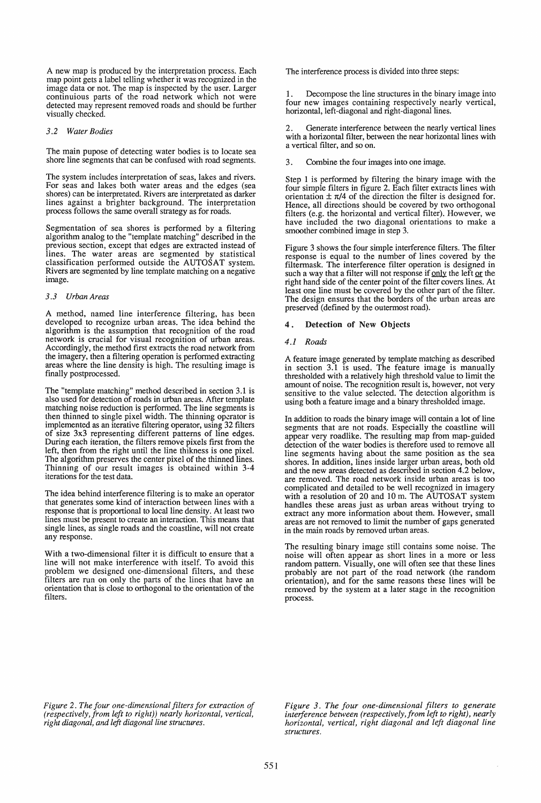A new map is produced by the interpretation process. Each map point gets a label telling whether it was recognized in the image data or not. The map is inspected by the user. Larger continuious parts of the road network which not were detected may represent removed roads and should be further visually checked.

#### *3.2 Water Bodies*

The main pupose of detecting water bodies is to locate sea shore line segments that can be confused with road segments.

The system includes interpretation of seas, lakes and rivers. For seas and lakes both water areas and the edges (sea shores) can be interpretated. Rivers are interpretated as darker lines against a brighter background. The interpretation process follows the same overall strategy as for roads.

Segmentation of sea shores is performed by a filtering algorithm analog to the "template matching" described in the previous section, except that edges are extracted instead of lines. The water areas are segmented by statistical classification performed outside the AUTOS AT system. Rivers are segmented by line template matching on a negative image.

### *3.3 Urban Areas*

A method, named line interference filtering, has been developed to recognize urban areas. The idea behind the algorithm is the assumption that recognition of the road network is crucial for visual recognition of urban areas. Accordingly, the method first extracts the road network from the imagery, then a fIltering operation is performed extracting areas where the line density is high. The resulting image is finally postprocessed.

The "template matching" method described in section 3.1 is also used for detection of roads in urban areas. After template matching noise reduction is performed. The line segments is then thinned to single pixel width. The thinning operator is implemented as an iterative flltering operator, using 32 fIlters of size 3x3 representing different patterns of line edges. During each iteration, the filters remove pixels first from the left, then from the right until the line thikness is one pixel. The algorithm preserves the center pixel of the thinned lines. Thinning of our result images is obtained within 3-4 iterations for the test data.

The idea behind interference filtering is to make an operator that generates some kind of interaction between lines with a response that is proportional to local line density. At least two lines must be present to create an interaction. This means that single lines, as single roads and the coastline, will not create any response.

With a two-dimensional filter it is difficult to ensure that a line will not make interference with itself. To avoid this problem we designed one-dimensional filters, and these filters are run on only the parts of the lines that have an orientation that is close to orthogonal to the orientation of the filters.

The interference process is divided into three steps:

Decompose the line structures in the binary image into four new images containing respectively nearly vertical, horizontal, left-diagonal and right-diagonal lines.

Generate interference between the nearly vertical lines with a horizontal filter, between the near horizontal lines with a vertical fIlter, and so on.

3. Combine the four images into one image.

Step 1 is performed by filtering the binary image with the four simple fllters in figure 2. Each fllter extracts lines with orientation  $\pm \pi/4$  of the direction the filter is designed for. Hence, all directions should be covered by two orthogonal filters (e.g. the horizontal and vertical fIlter). However, we have included the two diagonal orientations to make a smoother combined image in step 3.

Figure 3 shows the four simple interference filters. The fllter response is equal to the number of lines covered by the filtermask. The interference fIlter operation is designed in such a way that a filter will not response if only the left or the right hand side of the center point of the filter covers lines. At least one line must be covered by the other part of the fllter. The design ensures that the borders of the urban areas are preserved (defined by the outermost road).

## 4. Detection of New Objects

#### *4.1 Roads*

A feature image generated by template matching as described in section 3.1 is used. The feature image is manually thresholded with a relatively high threshold value to limit the amount of noise. The recognition result is, however, not very sensitive to the value selected. The detection algorithm is using both a feature image and a binary thresholded image.

In addition to roads the binary image will contain a lot of line segments that are not roads. Especially the coastline will appear very roadlike. The resulting map from map-guided detection of the water bodies is therefore used to remove all line segments having about the same position as the sea shores. In addition, lines inside larger urban areas, both old and the new areas detected as described in section 4.2 below, are removed. The road network inside urban areas is too complicated and detailed to be well recognized in imagery with a resolution of 20 and 10 m. The AUTOSAT system handles these areas just as urban areas without trying to extract any more information about them. However, small areas are not removed to limit the number of gaps generated in the main roads by removed urban areas.

The resulting binary image still contains some noise. The noise will often appear as short lines in a more or less random pattern. Visually, one will often see that these lines probably are not part of the road network (the random orientation), and for the same reasons these lines will be removed by the system at a later stage in the recognition process.

*Figure* 2. *The four one-dimensional filters for extraction of (respectively, from left to right)) nearly horizontal, vertical, right diagonal, and left diagonal line structures.* 

*Figure* 3. *The four one-dimensional filters to generate interference between (respectively,from left to right), nearly horizontal, vertical, right diagonal and left diagonal line structures.*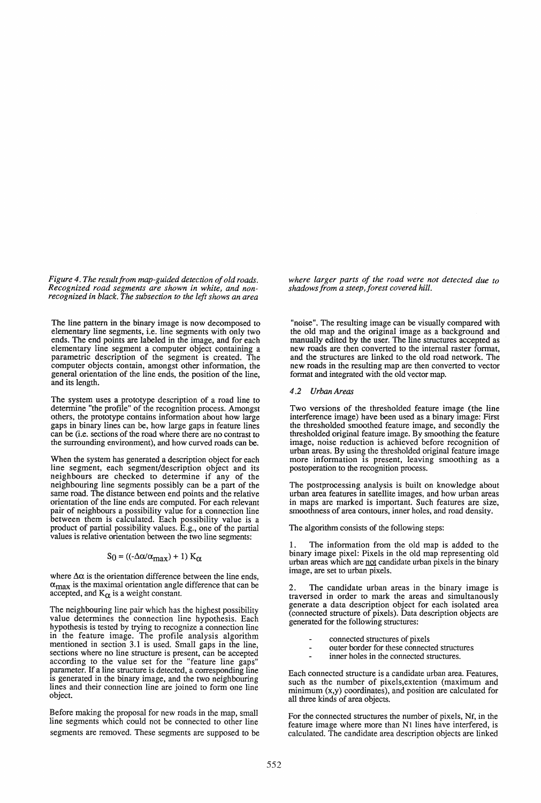*Figure* 4. *The result from map-guided detection of old roads. Recognized road segments are shown in white, and non- recognized in black. The subsection to the left shows an area* 

The line pattern in the binary image is now decomposed to elementary line segments, i.e. line segments with only two ends. The end points are labeled in the image, and for each elementary line segment a computer object containing a parametric description of the segment is created. The computer objects contain, amongst other information, the general orientation of the line ends, the position of the line, and its length.

The system uses a prototype description of a road line to determine "the profile" of the recognition process. Amongst others, the prototype contains information about how large gaps in binary lines can be, how large gaps in feature lines can be (i.e. sections of the road where there are no contrast to the surrounding environment), and how curved roads can be.

When the system has generated a description object for each line segment, each segment/description object and its neighbours are checked to determine if any of the neighbouring line segments possibly can be a part of the same road. The distance between end points and the relative orientation of the line ends are computed. For each relevant pair of neighbours a possibility value for a connection line between them is calculated. Each possibility value is a product of partial possibility values. E.g., one of the partial values is relative orientation between the two line segments:

# $S_0 = ((-\Delta \alpha/\alpha_{max}) + 1) K_{\alpha}$

where  $\Delta \alpha$  is the orientation difference between the line ends,  $\alpha_{\text{max}}$  is the maximal orientation angle difference that can be accepted, and  $K_{\alpha}$  is a weight constant.

The neighbouring line pair which has the highest possibility value determines the connection line hypothesis. Each hypothesis is tested by trying to recognize a connection line in the feature image. The profile analysis algorithm mentioned in section 3.1 is used. Small gaps in the line, sections where no line structure is present, can be accepted according to the value set for the "feature line gaps" parameter. If a line structure is detected, a corresponding line is generated in the binary image, and the two neighbouring lines and their connection line are joined to form one line object.

Before making the proposal for new roads in the map, small line segments which could not be connected to other line segments are removed. These segments are supposed to be *where larger parts of the road were not detected due to shadows from a steep,forest covered hill.* 

"noise". The resulting image can be visually compared with the old map and the original image as a background and manually edited by the user. The line structures accepted as new roads are then converted to the internal raster format, and the structures are linked to the old road network. The new roads in the resulting map are then converted to vector format and integrated with the old vector map.

#### *4.2 Urban Areas*

Two versions of the thresholded feature image (the line interference image) have been used as a binary image: First the thresholded smoothed feature image, and secondly the thresholded original feature image. By smoothing the feature image, noise reduction is achieved before recognition of urban areas. By using the thresholded original feature image more information is present, leaving smoothing as a postoperation to the recognition process.

The postprocessing analysis is built on knowledge about urban area features in satellite images, and how urban areas in maps are marked is important. Such features are size, smoothness of area contours, inner holes, and road density.

The algorithm consists of the following steps:

The information from the old map is added to the binary image pixel: Pixels in the old map representing old urban areas which are not candidate urban pixels in the binary image, are set to urban pixels.

2. The candidate urban areas in the binary image is traversed in order to mark the areas and simultanously generate a data description object for each isolated area (connected structure of pixels). Data description objects are generated for the following structures:

- connected structures of pixels
- outer border for these connected structures
- inner holes in the connected structures.

Each connected structure is a candidate urban area. Features, such as the number of pixels,extention (maximum and minimum (x,y) coordinates), and position are calculated for all three kinds of area objects.

For the connected structures the number of pixels, Nf, in the feature image where more than N1 lines have interfered, is calculated. The candidate area description objects are linked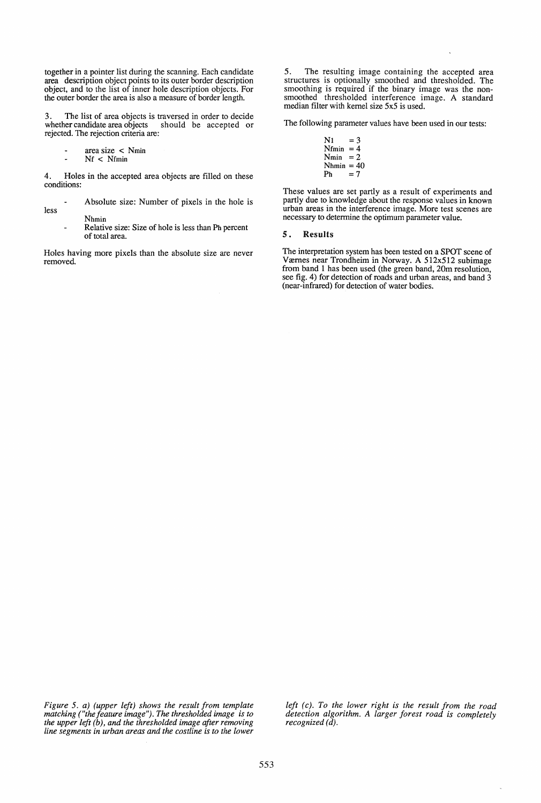together in a pointer list during the scanning. Each candidate area description object points to its outer border description object, and to the list of inner hole description objects. For the outer border the area is also a measure of border length.

3. The list of area objects is traversed in order to decide whether candidate area objects should be accepted or rejected. The rejection criteria are:

- area size  $\langle N_{\text{min}}\rangle$
- Nf < Nfmin

4. Holes in the accepted area objects are filled on these conditions:

less Absolute size: Number of pixels in the hole is

> Nhmin Relative size: Size of hole is less than Ph percent of total area.

Holes having more pixels than the absolute size are never removed.

5. The resulting image containing the accepted area structures is optionally smoothed and thresholded. The smoothing is required if the binary image was the nonsmoothed thresholded interference image. A standard median filter with kernel size 5x5 is used.

The following parameter values have been used in our tests:

 $N_1 = 3$  $N$ fmin = 4  $Nmin = 2$  $N$ hmin = 40<br>Ph = 7  $=7$ 

These values are set partly as a result of experiments and partly due to knowledge about the response values in known urban areas in the interference image. More test scenes are necessary to determine the optimum parameter value.

#### 5. Results

The interpretation system has been tested on a SPOT scene of Værnes near Trondheim in Norway. A 512x512 subimage from band 1 has been used (the green band, 20m resolution, see fig. 4) for detection of roads and urban areas, and band 3 (near-infrared) for detection of water bodies.

*Figure* 5. *a) (upper left) shows the result from template matching ("thefeature image"). The thresholded image is to the upper left (b), and the thresholded image after removing line segments in urban areas and the costline is to the lower* 

*left (c). To the lower right is the result from the road detection algorithm. A larger forest road is completely recognized (d).*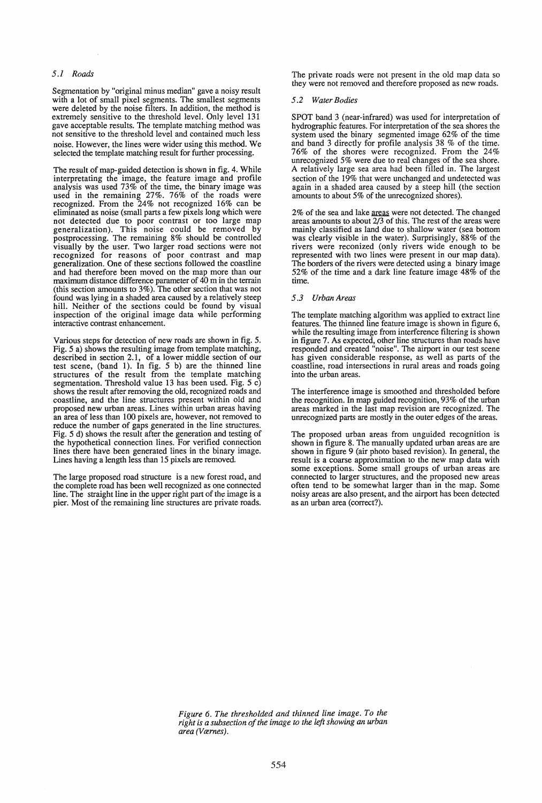# *5.1 Roads*

Segmentation by "original minus median" gave a noisy result with a lot of small pixel segments. The smallest segments were deleted by the noise filters. In addition, the method is extremely sensitive to the threshold level. Only level 131 gave acceptable results. The template matching method was not sensitive to the threshold level and contained much less noise. However, the lines were wider using this method. We selected the template matching result for further processing.

The result of map-guided detection is shown in fig. 4. While interpretating the image, the feature image and profile analysis was used 73% of the time, the binary image was used in the remaining 27%. 76% of the roads were recognized. From the 24% not recognized 16% can be eliminated as noise (small parts a few pixels long which were not detected due to poor contrast or too large map generalization). This noise could be removed by postprocessing. The remaining 8% should be controlled visually by the user. Two larger road sections were not recognized for reasons of poor contrast and map generalization. One of these sections followed the coastline and had therefore been moved on the map more than our maximum distance difference parameter of 40 m in the terrain (this section amounts to 3%). The other section that was not found was lying in a shaded area caused by a relatively steep hill. Neither of the sections could be found by visual inspection of the original image data while performing interactive contrast enhancement.

Various steps for detection of new roads are shown in fig. 5. Fig. 5 a) shows the resulting image from template matching, described in section 2.1, of a lower middle section of our described in section 2.1, of a lower middle section of our test scene, (band 1). In fig. 5 b) are the thinned line structures of the result from the template matching segmentation. Threshold value 13 has been used. Fig. 5 c) shows the result after removing the old, recognized roads and coastline, and the line structures present within old and proposed new urban areas. Lines within urban areas having an area of less than 100 pixels are, however, not removed to reduce the number of gaps generated in the line structures. Fig. 5 d) shows the result after the generation and testing of the hypothetical connection lines. For verified connection lines there have been generated lines in the binary image. Lines having a length less than 15 pixels are removed.

The large proposed road structure is a new forest road, and the complete road has been well recognized as one connected line. The straight line in the upper right part of the image is a pier. Most of the remaining line structures are private roads. The private roads were not present in the old map data so they were not removed and therefore proposed as new roads.

#### *5.2 Water Bodies*

SPOT band 3 (near-infrared) was used for interpretation of hydrographic features. For interpretation of the sea shores the system used the binary segmented image 62% of the time and band 3 directly for profile analysis 38 % of the time. 76% of the shores were recognized. From the 24% unrecognized 5% were due to real changes of the sea shore. A relatively large sea area had been filled in. The largest section of the 19% that were unchanged and undetected was again in a shaded area caused by a steep hill (the section amounts to about 5% of the unrecognized shores).

 $2\%$  of the sea and lake <u>areas</u> were not detected. The changed<br>areas amounts to about  $2/3$  of this. The rest of the areas were<br>mainly classified as land due to shallow water (sea bottom<br>was clearly visible in the water rivers were reconized (only rivers wide enough to be represented with two lines were present in our map data). The borders of the rivers were detected using a binary image 52% of the time and a dark line feature image  $48\%$  of the time.

#### *5.3 Urban Areas*

The template matching algorithm was applied to extract line features. The thinned line feature image is shown in figure 6, while the resulting image from interference filtering is shown in figure 7. As expected, other line structures than roads have responded and created "noise". The airport in our test scene has given considerable response, as well as parts of the coastline, road intersections in rural areas and roads going into the urban areas.

The interference image is smoothed and thresholded before the recognition. In map guided recognition, 93% of the urban areas marked in the last map revision are recognized. The unrecognized parts are mostly in the outer edges of the areas.

The proposed urban areas from unguided recognition is shown in figure 8. The manually updated urban areas are are shown in figure 9 (air photo based revision). In general, the result is a coarse approximation to the new map data with some exceptions. Some small groups of urban areas are connected to larger structures, and the proposed new areas often tend to be somewhat larger than in the map. Some noisy areas are also present, and the airport has been detected as an urban area (correct?).

*Figure* 6. *The thresholded and thinned line image. To the right is a subsection of the image to the left showing an urban area* (Værnes).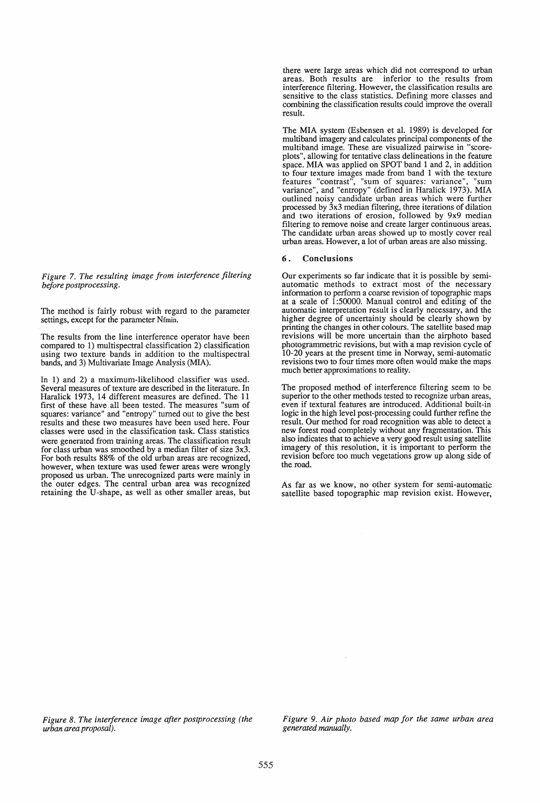*Figure* 7. *The resulting image from interference filtering before postprocessing.* 

The method is fairly robust with regard to the parameter settings, except for the parameter Nfmin.

The results from the line interference operator have been compared to 1) multispectral classification 2) classification using two texture bands in addition to the multispectral bands, and 3) Multivariate Image Analysis (MIA).

In 1) and 2) a maximum-likelihood classifier was used. Several measures of texture are described in the literature. In Haralick 1973, 14 different measures are defined. The 11 first of these have. all been tested. The measures "sum of squares: variance" and "entropy" turned out to give the best results and these two measures have been used here. Four classes were used in the classification task. Class statistics were generated from training areas. The classification result for class urban was smoothed by a median filter of size 3x3. For both results 88% of the old urban areas are recognized, however, when texture was used fewer areas were wrongly proposed us urban. The unrecognized parts were mainly in the outer edges. The central urban area was recognized retaining the V-shape, as well as other smaller areas, but

there were large areas which did not correspond to urban areas. Both results are inferior to the results from interference filtering. However, the classification results are sensitive to the class statistics. Defining more classes and combining the classification results could improve the overall result.

The MIA system (Esbensen et al. 1989) is developed for multiband imagery and calculates principal components of the multiband image. These are visualized pairwise in "scoreplots", allowing for tentative class delineations in the feature space. MIA was applied on SPOT band 1 and 2, in addition to four texture images made from band 1 with the texture features "contrast", "sum of squares: variance", "sum variance", and "entropy" (defined in Haralick 1973). MIA outlined noisy candidate urban areas which were further processed by 3x3 median filtering, three iterations of dilation and two iterations of erosion, followed by 9x9 median filtering to remove noise and create larger continuous areas. The candidate urban areas showed up to mostly cover real urban areas. However, a lot of urban areas are also missing.

#### 6. Conclusions

Our experiments so far indicate that it is possible by semiautomatic methods to extract most of the necessary information to perform a coarse revision of topographic maps at a scale of 1 :50000. Manual control and editing of the automatic interpretation result is clearly necessary, and the higher degree of uncertainty should be clearly shown by printing the changes in other colours. The satellite based map revisions will be more uncertain than the airphoto based photogrammetric revisions, but with a map revision cycle of 10-20 years at the present time in Norway, semi-automatic revisions two to four times more often would make the maps much better approximations to reality.

The proposed method of interference filtering seem to be superior to the other methods tested to recognize urban areas, even if textural features are introduced. Additional built-in logic in the high level post-processing could further refine the result. Our method for road recognition was able to detect a new forest road completely without any fragmentation. This also indicates that to achieve a very good result using satellite imagery of this resolution, it is important to perform the revision before too much vegetations grow up along side of the road.

As far as we know, no other system for semi-automatic satellite based topographic map revision exist. However,

*Figure* 8. *The interference image after postprocessing (the urban area proposal).* 

*Figure* 9. *Air photo based map for the same urban area generated manually.*